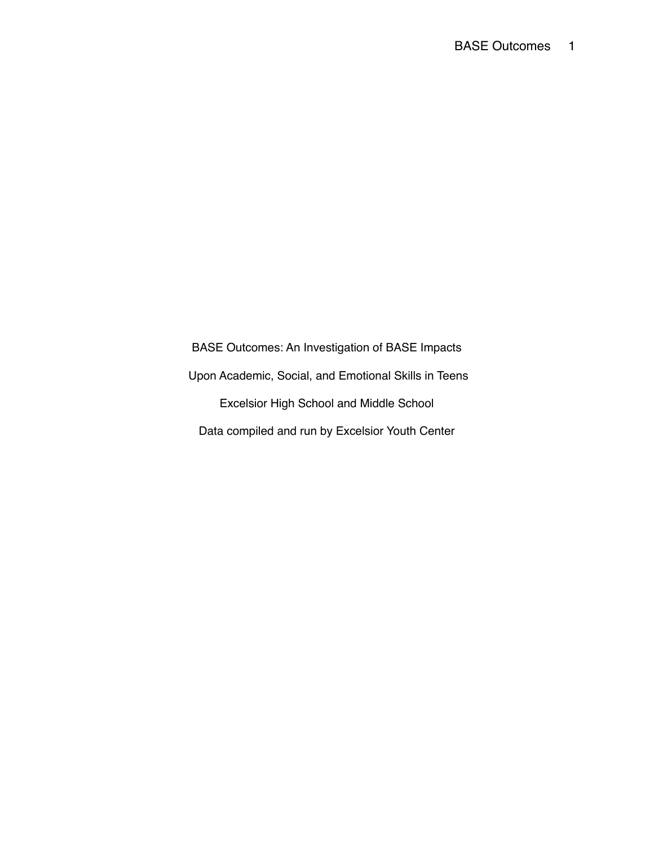BASE Outcomes: An Investigation of BASE Impacts Upon Academic, Social, and Emotional Skills in Teens Excelsior High School and Middle School Data compiled and run by Excelsior Youth Center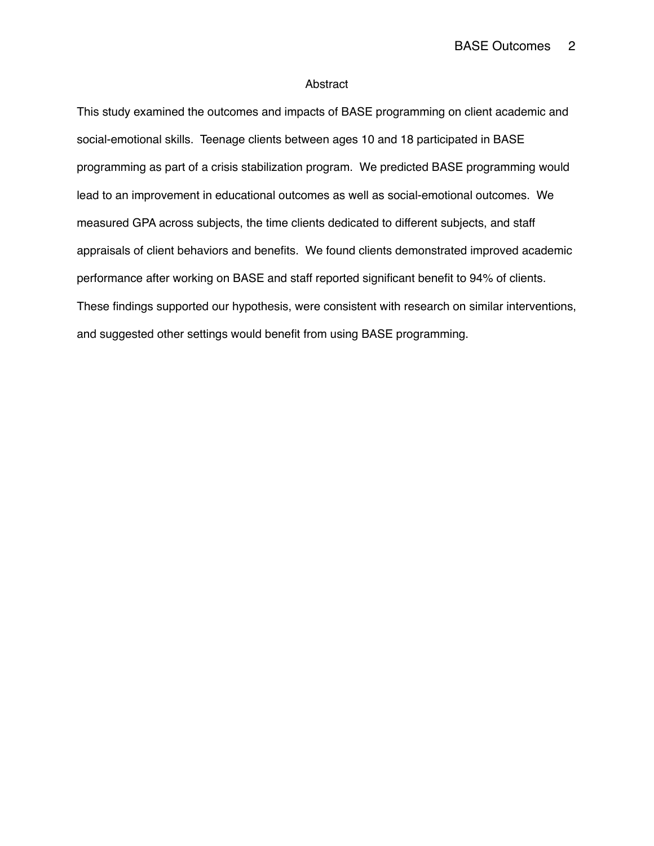## Abstract

This study examined the outcomes and impacts of BASE programming on client academic and social-emotional skills. Teenage clients between ages 10 and 18 participated in BASE programming as part of a crisis stabilization program. We predicted BASE programming would lead to an improvement in educational outcomes as well as social-emotional outcomes. We measured GPA across subjects, the time clients dedicated to different subjects, and staff appraisals of client behaviors and benefits. We found clients demonstrated improved academic performance after working on BASE and staff reported significant benefit to 94% of clients. These findings supported our hypothesis, were consistent with research on similar interventions, and suggested other settings would benefit from using BASE programming.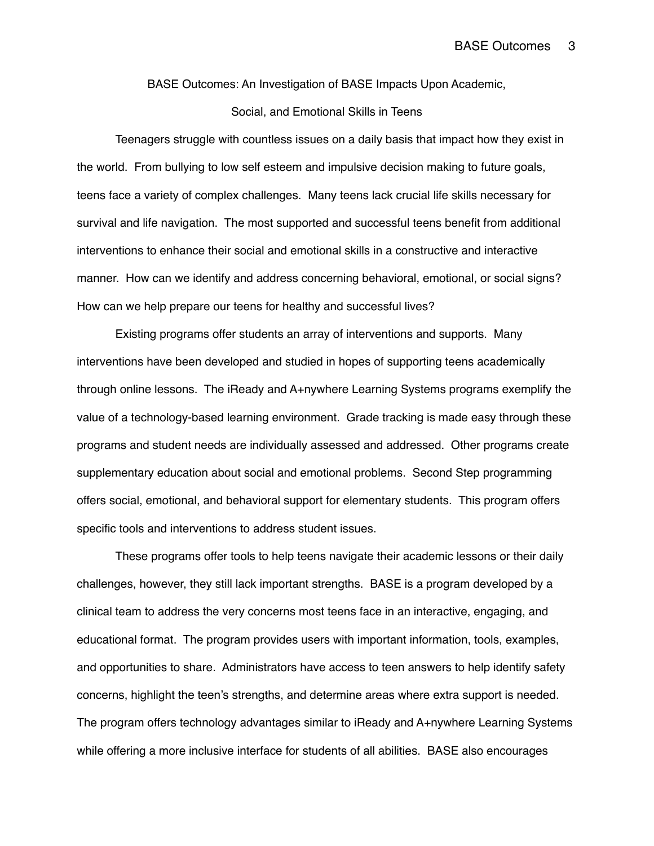BASE Outcomes: An Investigation of BASE Impacts Upon Academic,

# Social, and Emotional Skills in Teens

Teenagers struggle with countless issues on a daily basis that impact how they exist in the world. From bullying to low self esteem and impulsive decision making to future goals, teens face a variety of complex challenges. Many teens lack crucial life skills necessary for survival and life navigation. The most supported and successful teens benefit from additional interventions to enhance their social and emotional skills in a constructive and interactive manner. How can we identify and address concerning behavioral, emotional, or social signs? How can we help prepare our teens for healthy and successful lives?

Existing programs offer students an array of interventions and supports. Many interventions have been developed and studied in hopes of supporting teens academically through online lessons. The iReady and A+nywhere Learning Systems programs exemplify the value of a technology-based learning environment. Grade tracking is made easy through these programs and student needs are individually assessed and addressed. Other programs create supplementary education about social and emotional problems. Second Step programming offers social, emotional, and behavioral support for elementary students. This program offers specific tools and interventions to address student issues.

These programs offer tools to help teens navigate their academic lessons or their daily challenges, however, they still lack important strengths. BASE is a program developed by a clinical team to address the very concerns most teens face in an interactive, engaging, and educational format. The program provides users with important information, tools, examples, and opportunities to share. Administrators have access to teen answers to help identify safety concerns, highlight the teen's strengths, and determine areas where extra support is needed. The program offers technology advantages similar to iReady and A+nywhere Learning Systems while offering a more inclusive interface for students of all abilities. BASE also encourages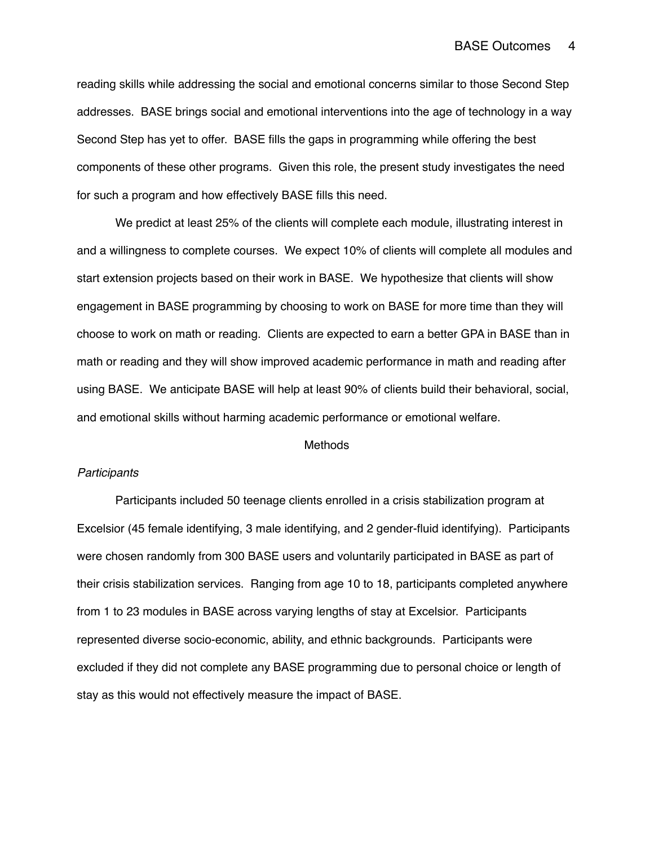reading skills while addressing the social and emotional concerns similar to those Second Step addresses. BASE brings social and emotional interventions into the age of technology in a way Second Step has yet to offer. BASE fills the gaps in programming while offering the best components of these other programs. Given this role, the present study investigates the need for such a program and how effectively BASE fills this need.

We predict at least 25% of the clients will complete each module, illustrating interest in and a willingness to complete courses. We expect 10% of clients will complete all modules and start extension projects based on their work in BASE. We hypothesize that clients will show engagement in BASE programming by choosing to work on BASE for more time than they will choose to work on math or reading. Clients are expected to earn a better GPA in BASE than in math or reading and they will show improved academic performance in math and reading after using BASE. We anticipate BASE will help at least 90% of clients build their behavioral, social, and emotional skills without harming academic performance or emotional welfare.

# Methods

#### *Participants*

Participants included 50 teenage clients enrolled in a crisis stabilization program at Excelsior (45 female identifying, 3 male identifying, and 2 gender-fluid identifying). Participants were chosen randomly from 300 BASE users and voluntarily participated in BASE as part of their crisis stabilization services. Ranging from age 10 to 18, participants completed anywhere from 1 to 23 modules in BASE across varying lengths of stay at Excelsior. Participants represented diverse socio-economic, ability, and ethnic backgrounds. Participants were excluded if they did not complete any BASE programming due to personal choice or length of stay as this would not effectively measure the impact of BASE.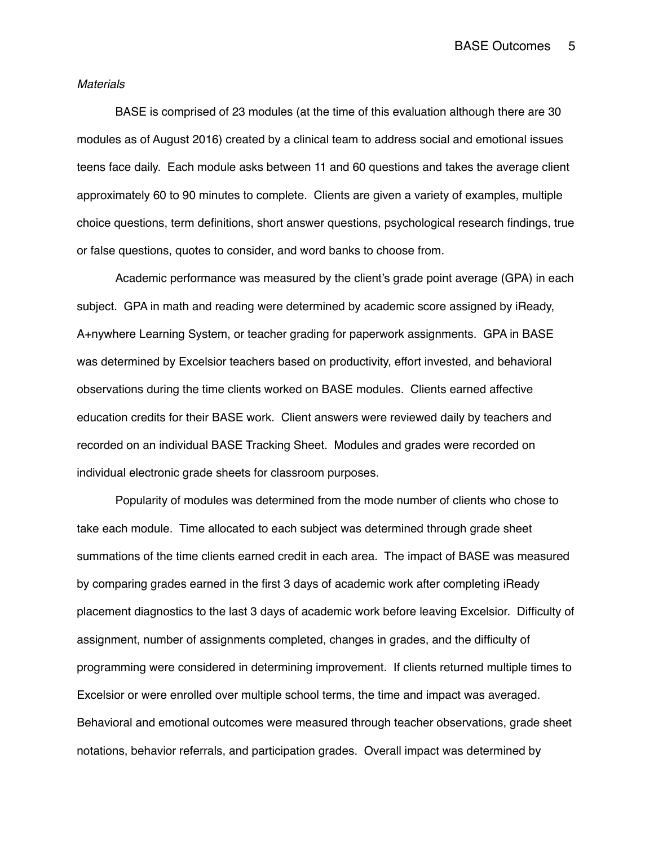## *Materials*

BASE is comprised of 23 modules (at the time of this evaluation although there are 30 modules as of August 2016) created by a clinical team to address social and emotional issues teens face daily. Each module asks between 11 and 60 questions and takes the average client approximately 60 to 90 minutes to complete. Clients are given a variety of examples, multiple choice questions, term definitions, short answer questions, psychological research findings, true or false questions, quotes to consider, and word banks to choose from.

Academic performance was measured by the client's grade point average (GPA) in each subject. GPA in math and reading were determined by academic score assigned by iReady, A+nywhere Learning System, or teacher grading for paperwork assignments. GPA in BASE was determined by Excelsior teachers based on productivity, effort invested, and behavioral observations during the time clients worked on BASE modules. Clients earned affective education credits for their BASE work. Client answers were reviewed daily by teachers and recorded on an individual BASE Tracking Sheet. Modules and grades were recorded on individual electronic grade sheets for classroom purposes.

Popularity of modules was determined from the mode number of clients who chose to take each module. Time allocated to each subject was determined through grade sheet summations of the time clients earned credit in each area. The impact of BASE was measured by comparing grades earned in the first 3 days of academic work after completing iReady placement diagnostics to the last 3 days of academic work before leaving Excelsior. Difficulty of assignment, number of assignments completed, changes in grades, and the difficulty of programming were considered in determining improvement. If clients returned multiple times to Excelsior or were enrolled over multiple school terms, the time and impact was averaged. Behavioral and emotional outcomes were measured through teacher observations, grade sheet notations, behavior referrals, and participation grades. Overall impact was determined by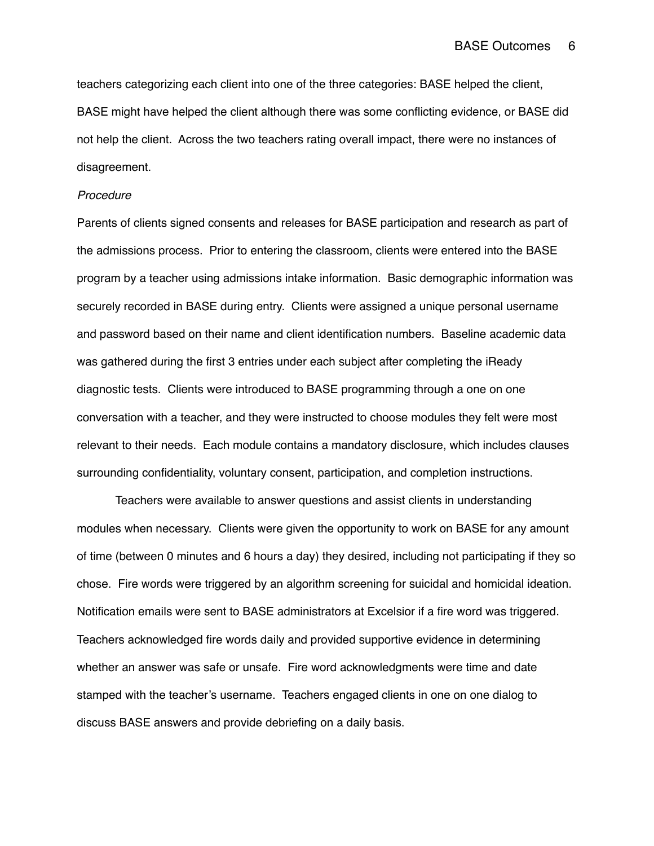teachers categorizing each client into one of the three categories: BASE helped the client, BASE might have helped the client although there was some conflicting evidence, or BASE did not help the client. Across the two teachers rating overall impact, there were no instances of disagreement.

# *Procedure*

Parents of clients signed consents and releases for BASE participation and research as part of the admissions process. Prior to entering the classroom, clients were entered into the BASE program by a teacher using admissions intake information. Basic demographic information was securely recorded in BASE during entry. Clients were assigned a unique personal username and password based on their name and client identification numbers. Baseline academic data was gathered during the first 3 entries under each subject after completing the iReady diagnostic tests. Clients were introduced to BASE programming through a one on one conversation with a teacher, and they were instructed to choose modules they felt were most relevant to their needs. Each module contains a mandatory disclosure, which includes clauses surrounding confidentiality, voluntary consent, participation, and completion instructions.

Teachers were available to answer questions and assist clients in understanding modules when necessary. Clients were given the opportunity to work on BASE for any amount of time (between 0 minutes and 6 hours a day) they desired, including not participating if they so chose. Fire words were triggered by an algorithm screening for suicidal and homicidal ideation. Notification emails were sent to BASE administrators at Excelsior if a fire word was triggered. Teachers acknowledged fire words daily and provided supportive evidence in determining whether an answer was safe or unsafe. Fire word acknowledgments were time and date stamped with the teacher's username. Teachers engaged clients in one on one dialog to discuss BASE answers and provide debriefing on a daily basis.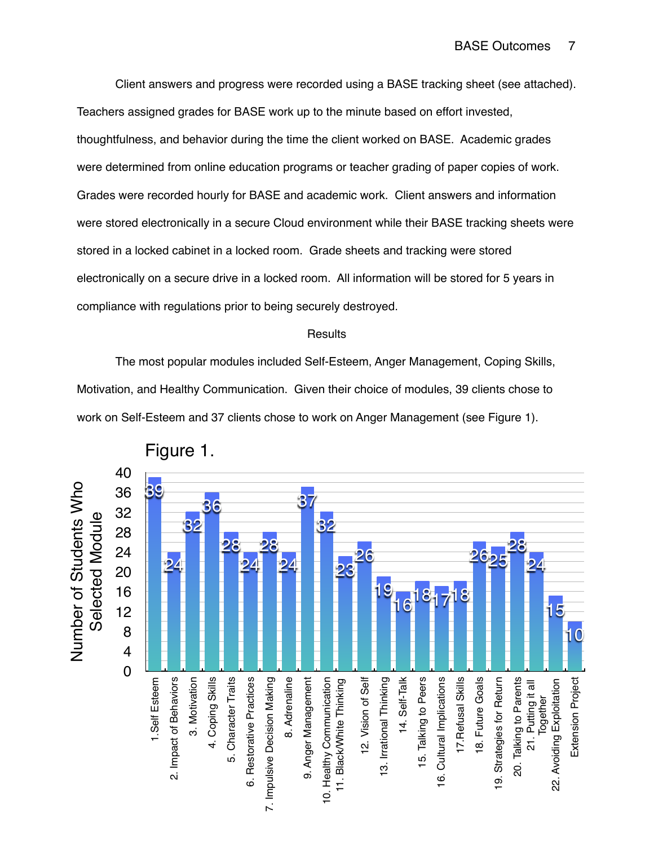Client answers and progress were recorded using a BASE tracking sheet (see attached). Teachers assigned grades for BASE work up to the minute based on effort invested, thoughtfulness, and behavior during the time the client worked on BASE. Academic grades were determined from online education programs or teacher grading of paper copies of work. Grades were recorded hourly for BASE and academic work. Client answers and information were stored electronically in a secure Cloud environment while their BASE tracking sheets were stored in a locked cabinet in a locked room. Grade sheets and tracking were stored electronically on a secure drive in a locked room. All information will be stored for 5 years in compliance with regulations prior to being securely destroyed.

# **Results**

The most popular modules included Self-Esteem, Anger Management, Coping Skills, Motivation, and Healthy Communication. Given their choice of modules, 39 clients chose to work on Self-Esteem and 37 clients chose to work on Anger Management (see Figure 1).



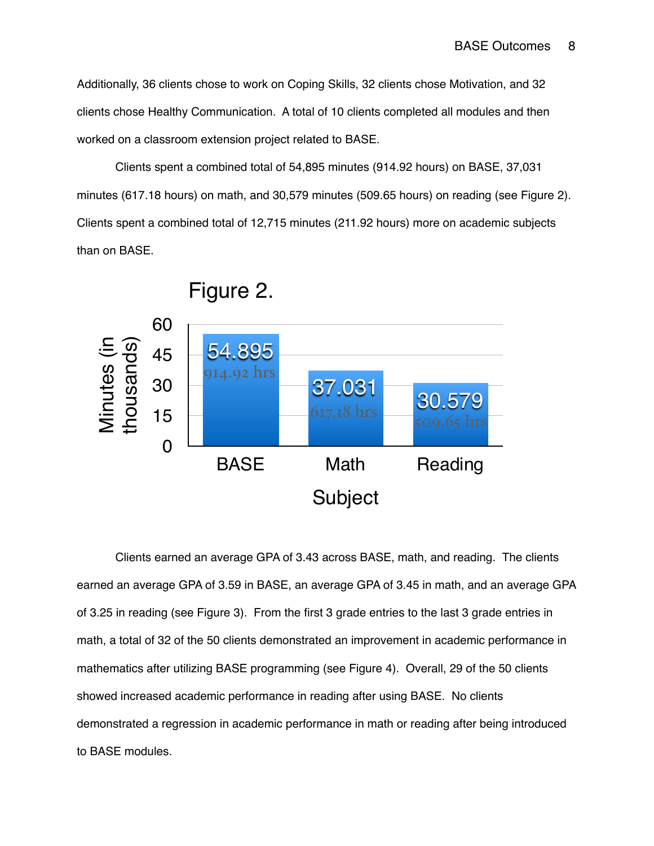Additionally, 36 clients chose to work on Coping Skills, 32 clients chose Motivation, and 32 clients chose Healthy Communication. A total of 10 clients completed all modules and then worked on a classroom extension project related to BASE.

Clients spent a combined total of 54,895 minutes (914.92 hours) on BASE, 37,031 minutes (617.18 hours) on math, and 30,579 minutes (509.65 hours) on reading (see Figure 2). Clients spent a combined total of 12,715 minutes (211.92 hours) more on academic subjects than on BASE.



Clients earned an average GPA of 3.43 across BASE, math, and reading. The clients earned an average GPA of 3.59 in BASE, an average GPA of 3.45 in math, and an average GPA of 3.25 in reading (see Figure 3). From the first 3 grade entries to the last 3 grade entries in math, a total of 32 of the 50 clients demonstrated an improvement in academic performance in mathematics after utilizing BASE programming (see Figure 4). Overall, 29 of the 50 clients showed increased academic performance in reading after using BASE. No clients demonstrated a regression in academic performance in math or reading after being introduced to BASE modules.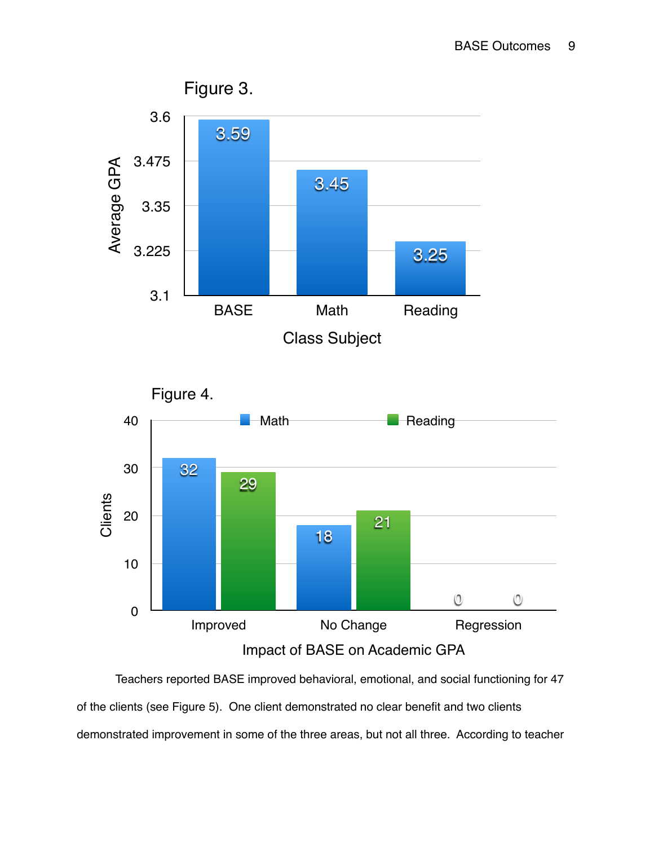





Teachers reported BASE improved behavioral, emotional, and social functioning for 47 of the clients (see Figure 5). One client demonstrated no clear benefit and two clients demonstrated improvement in some of the three areas, but not all three. According to teacher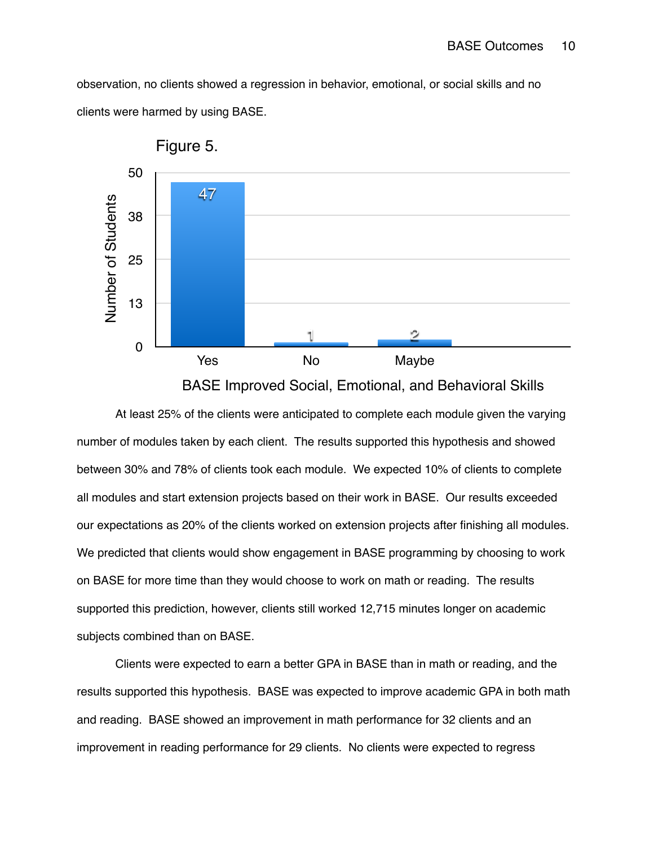observation, no clients showed a regression in behavior, emotional, or social skills and no clients were harmed by using BASE.



BASE Improved Social, Emotional, and Behavioral Skills

At least 25% of the clients were anticipated to complete each module given the varying number of modules taken by each client. The results supported this hypothesis and showed between 30% and 78% of clients took each module. We expected 10% of clients to complete all modules and start extension projects based on their work in BASE. Our results exceeded our expectations as 20% of the clients worked on extension projects after finishing all modules. We predicted that clients would show engagement in BASE programming by choosing to work on BASE for more time than they would choose to work on math or reading. The results supported this prediction, however, clients still worked 12,715 minutes longer on academic subjects combined than on BASE.

Clients were expected to earn a better GPA in BASE than in math or reading, and the results supported this hypothesis. BASE was expected to improve academic GPA in both math and reading. BASE showed an improvement in math performance for 32 clients and an improvement in reading performance for 29 clients. No clients were expected to regress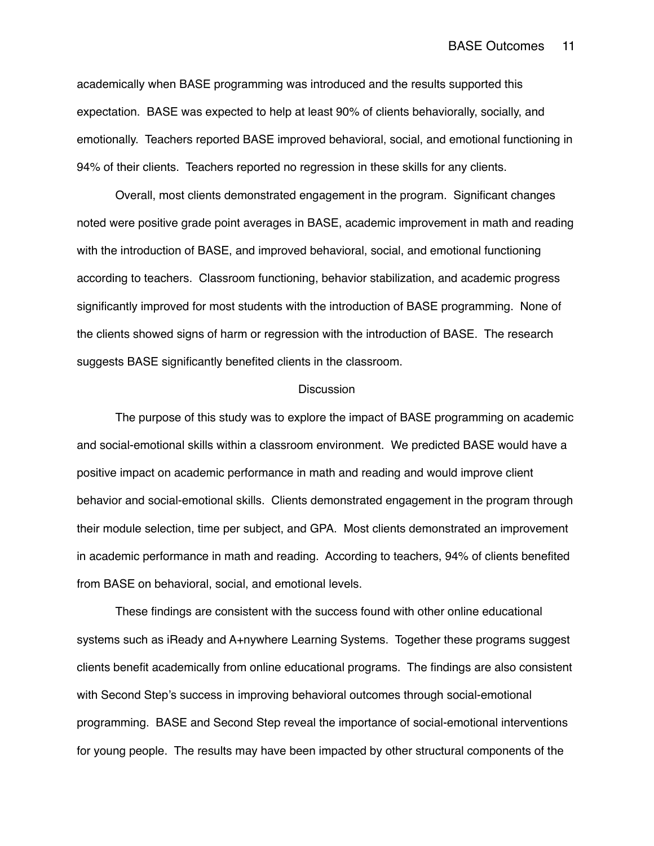## BASE Outcomes 11

academically when BASE programming was introduced and the results supported this expectation. BASE was expected to help at least 90% of clients behaviorally, socially, and emotionally. Teachers reported BASE improved behavioral, social, and emotional functioning in 94% of their clients. Teachers reported no regression in these skills for any clients.

Overall, most clients demonstrated engagement in the program. Significant changes noted were positive grade point averages in BASE, academic improvement in math and reading with the introduction of BASE, and improved behavioral, social, and emotional functioning according to teachers. Classroom functioning, behavior stabilization, and academic progress significantly improved for most students with the introduction of BASE programming. None of the clients showed signs of harm or regression with the introduction of BASE. The research suggests BASE significantly benefited clients in the classroom.

#### **Discussion**

The purpose of this study was to explore the impact of BASE programming on academic and social-emotional skills within a classroom environment. We predicted BASE would have a positive impact on academic performance in math and reading and would improve client behavior and social-emotional skills. Clients demonstrated engagement in the program through their module selection, time per subject, and GPA. Most clients demonstrated an improvement in academic performance in math and reading. According to teachers, 94% of clients benefited from BASE on behavioral, social, and emotional levels.

These findings are consistent with the success found with other online educational systems such as iReady and A+nywhere Learning Systems. Together these programs suggest clients benefit academically from online educational programs. The findings are also consistent with Second Step's success in improving behavioral outcomes through social-emotional programming. BASE and Second Step reveal the importance of social-emotional interventions for young people. The results may have been impacted by other structural components of the